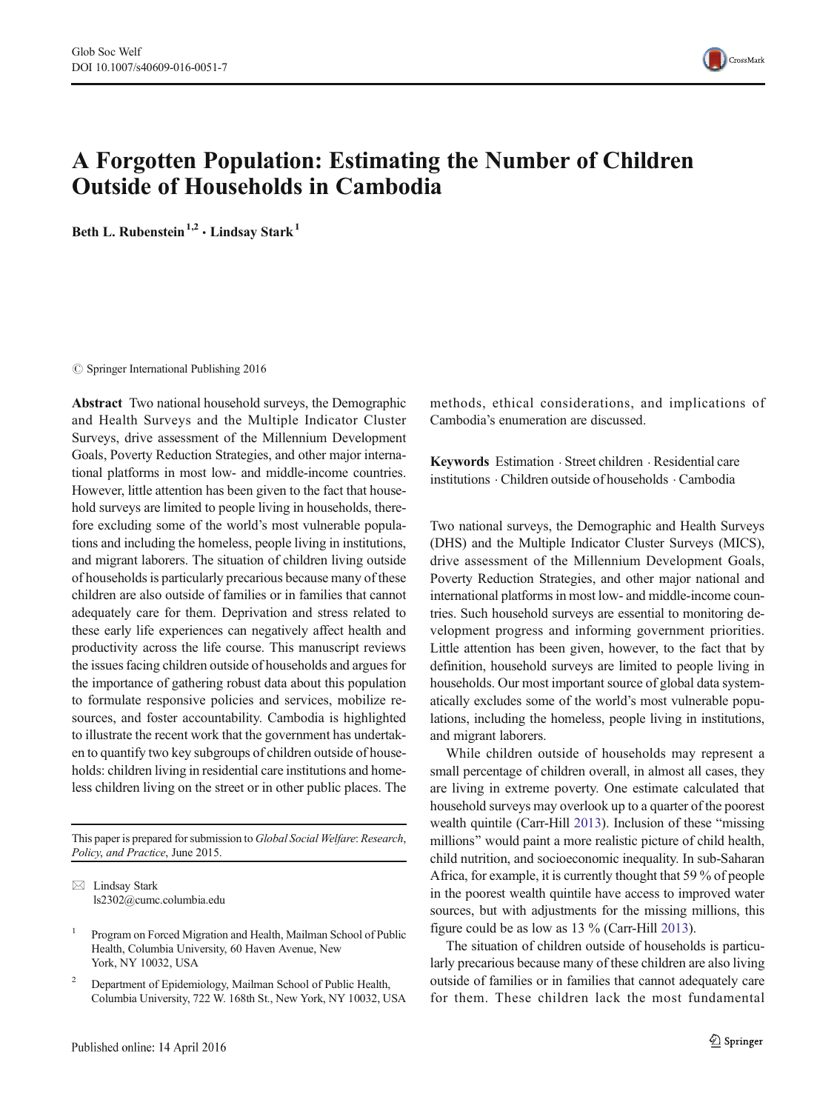

# A Forgotten Population: Estimating the Number of Children Outside of Households in Cambodia

Beth L. Rubenstein<sup>1,2</sup>  $\cdot$  Lindsay Stark<sup>1</sup>

 $\oslash$  Springer International Publishing 2016

Abstract Two national household surveys, the Demographic and Health Surveys and the Multiple Indicator Cluster Surveys, drive assessment of the Millennium Development Goals, Poverty Reduction Strategies, and other major international platforms in most low- and middle-income countries. However, little attention has been given to the fact that household surveys are limited to people living in households, therefore excluding some of the world's most vulnerable populations and including the homeless, people living in institutions, and migrant laborers. The situation of children living outside of households is particularly precarious because many of these children are also outside of families or in families that cannot adequately care for them. Deprivation and stress related to these early life experiences can negatively affect health and productivity across the life course. This manuscript reviews the issues facing children outside of households and argues for the importance of gathering robust data about this population to formulate responsive policies and services, mobilize resources, and foster accountability. Cambodia is highlighted to illustrate the recent work that the government has undertaken to quantify two key subgroups of children outside of households: children living in residential care institutions and homeless children living on the street or in other public places. The

This paper is prepared for submission to Global Social Welfare: Research, Policy, and Practice, June 2015.

 $\boxtimes$  Lindsay Stark ls2302@cumc.columbia.edu

<sup>2</sup> Department of Epidemiology, Mailman School of Public Health, Columbia University, 722 W. 168th St., New York, NY 10032, USA methods, ethical considerations, and implications of Cambodia's enumeration are discussed.

Keywords Estimation . Street children . Residential care institutions . Children outside of households . Cambodia

Two national surveys, the Demographic and Health Surveys (DHS) and the Multiple Indicator Cluster Surveys (MICS), drive assessment of the Millennium Development Goals, Poverty Reduction Strategies, and other major national and international platforms in most low- and middle-income countries. Such household surveys are essential to monitoring development progress and informing government priorities. Little attention has been given, however, to the fact that by definition, household surveys are limited to people living in households. Our most important source of global data systematically excludes some of the world's most vulnerable populations, including the homeless, people living in institutions, and migrant laborers.

While children outside of households may represent a small percentage of children overall, in almost all cases, they are living in extreme poverty. One estimate calculated that household surveys may overlook up to a quarter of the poorest wealth quintile (Carr-Hill [2013](#page-4-0)). Inclusion of these "missing millions" would paint a more realistic picture of child health, child nutrition, and socioeconomic inequality. In sub-Saharan Africa, for example, it is currently thought that 59 % of people in the poorest wealth quintile have access to improved water sources, but with adjustments for the missing millions, this figure could be as low as 13 % (Carr-Hill [2013](#page-4-0)).

The situation of children outside of households is particularly precarious because many of these children are also living outside of families or in families that cannot adequately care for them. These children lack the most fundamental

<sup>1</sup> Program on Forced Migration and Health, Mailman School of Public Health, Columbia University, 60 Haven Avenue, New York, NY 10032, USA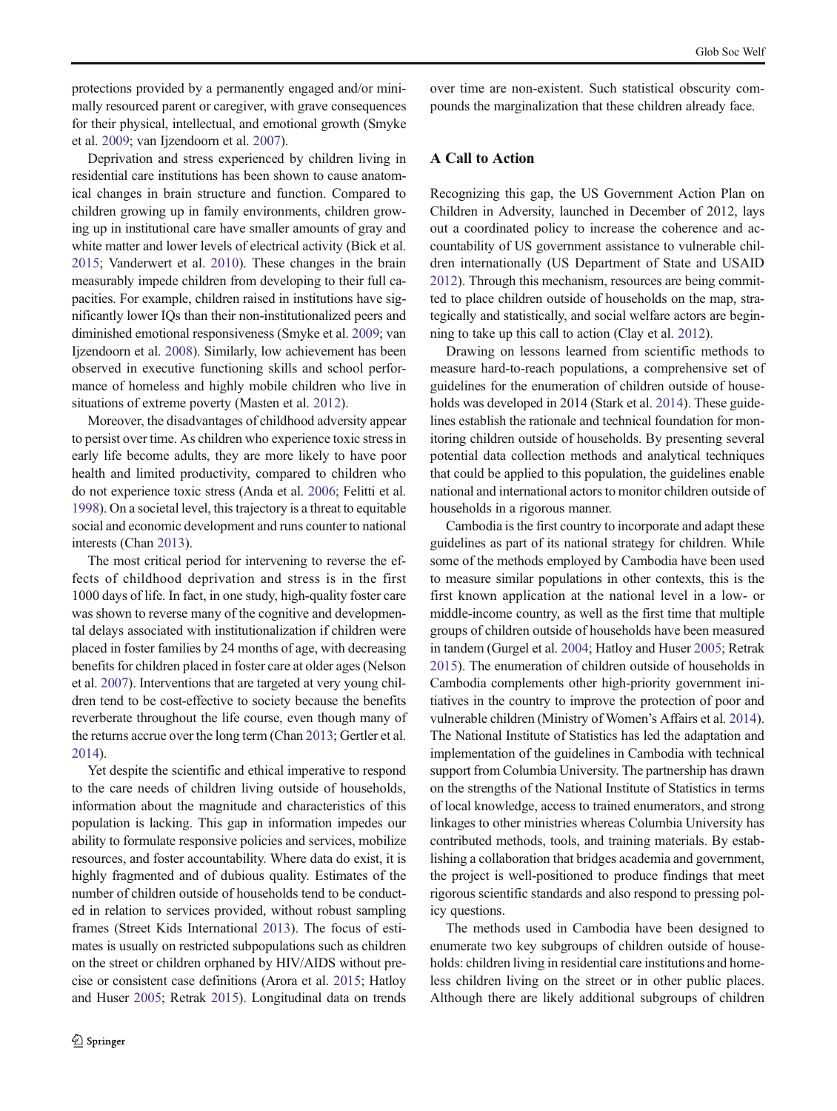protections provided by a permanently engaged and/or minimally resourced parent or caregiver, with grave consequences for their physical, intellectual, and emotional growth (Smyke et al. [2009](#page-4-0); van Ijzendoorn et al. [2007\)](#page-5-0).

Deprivation and stress experienced by children living in residential care institutions has been shown to cause anatomical changes in brain structure and function. Compared to children growing up in family environments, children growing up in institutional care have smaller amounts of gray and white matter and lower levels of electrical activity (Bick et al. [2015;](#page-4-0) Vanderwert et al. [2010\)](#page-5-0). These changes in the brain measurably impede children from developing to their full capacities. For example, children raised in institutions have significantly lower IQs than their non-institutionalized peers and diminished emotional responsiveness (Smyke et al. [2009](#page-4-0); van Ijzendoorn et al. [2008](#page-5-0)). Similarly, low achievement has been observed in executive functioning skills and school performance of homeless and highly mobile children who live in situations of extreme poverty (Masten et al. [2012\)](#page-4-0).

Moreover, the disadvantages of childhood adversity appear to persist over time. As children who experience toxic stress in early life become adults, they are more likely to have poor health and limited productivity, compared to children who do not experience toxic stress (Anda et al. [2006;](#page-4-0) Felitti et al. [1998\)](#page-4-0). On a societal level, this trajectory is a threat to equitable social and economic development and runs counter to national interests (Chan [2013\)](#page-4-0).

The most critical period for intervening to reverse the effects of childhood deprivation and stress is in the first 1000 days of life. In fact, in one study, high-quality foster care was shown to reverse many of the cognitive and developmental delays associated with institutionalization if children were placed in foster families by 24 months of age, with decreasing benefits for children placed in foster care at older ages (Nelson et al. [2007](#page-4-0)). Interventions that are targeted at very young children tend to be cost-effective to society because the benefits reverberate throughout the life course, even though many of the returns accrue over the long term (Chan [2013](#page-4-0); Gertler et al. [2014\)](#page-4-0).

Yet despite the scientific and ethical imperative to respond to the care needs of children living outside of households, information about the magnitude and characteristics of this population is lacking. This gap in information impedes our ability to formulate responsive policies and services, mobilize resources, and foster accountability. Where data do exist, it is highly fragmented and of dubious quality. Estimates of the number of children outside of households tend to be conducted in relation to services provided, without robust sampling frames (Street Kids International [2013\)](#page-5-0). The focus of estimates is usually on restricted subpopulations such as children on the street or children orphaned by HIV/AIDS without precise or consistent case definitions (Arora et al. [2015;](#page-4-0) Hatloy and Huser [2005;](#page-4-0) Retrak [2015\)](#page-4-0). Longitudinal data on trends over time are non-existent. Such statistical obscurity compounds the marginalization that these children already face.

# A Call to Action

Recognizing this gap, the US Government Action Plan on Children in Adversity, launched in December of 2012, lays out a coordinated policy to increase the coherence and accountability of US government assistance to vulnerable children internationally (US Department of State and USAID [2012\)](#page-5-0). Through this mechanism, resources are being committed to place children outside of households on the map, strategically and statistically, and social welfare actors are beginning to take up this call to action (Clay et al. [2012](#page-4-0)).

Drawing on lessons learned from scientific methods to measure hard-to-reach populations, a comprehensive set of guidelines for the enumeration of children outside of house-holds was developed in [2014](#page-4-0) (Stark et al. 2014). These guidelines establish the rationale and technical foundation for monitoring children outside of households. By presenting several potential data collection methods and analytical techniques that could be applied to this population, the guidelines enable national and international actors to monitor children outside of households in a rigorous manner.

Cambodia is the first country to incorporate and adapt these guidelines as part of its national strategy for children. While some of the methods employed by Cambodia have been used to measure similar populations in other contexts, this is the first known application at the national level in a low- or middle-income country, as well as the first time that multiple groups of children outside of households have been measured in tandem (Gurgel et al. [2004;](#page-4-0) Hatloy and Huser [2005;](#page-4-0) Retrak [2015\)](#page-4-0). The enumeration of children outside of households in Cambodia complements other high-priority government initiatives in the country to improve the protection of poor and vulnerable children (Ministry of Women's Affairs et al. [2014\)](#page-4-0). The National Institute of Statistics has led the adaptation and implementation of the guidelines in Cambodia with technical support from Columbia University. The partnership has drawn on the strengths of the National Institute of Statistics in terms of local knowledge, access to trained enumerators, and strong linkages to other ministries whereas Columbia University has contributed methods, tools, and training materials. By establishing a collaboration that bridges academia and government, the project is well-positioned to produce findings that meet rigorous scientific standards and also respond to pressing policy questions.

The methods used in Cambodia have been designed to enumerate two key subgroups of children outside of households: children living in residential care institutions and homeless children living on the street or in other public places. Although there are likely additional subgroups of children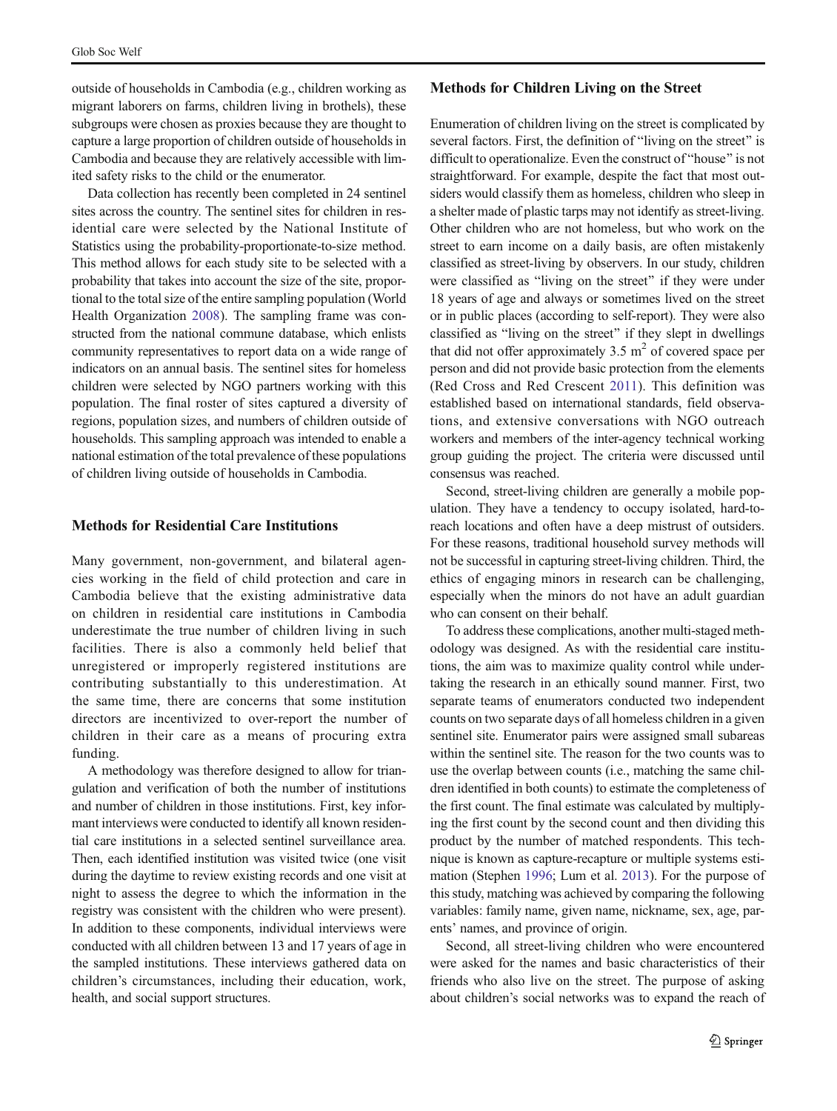outside of households in Cambodia (e.g., children working as migrant laborers on farms, children living in brothels), these subgroups were chosen as proxies because they are thought to capture a large proportion of children outside of households in Cambodia and because they are relatively accessible with limited safety risks to the child or the enumerator.

Data collection has recently been completed in 24 sentinel sites across the country. The sentinel sites for children in residential care were selected by the National Institute of Statistics using the probability-proportionate-to-size method. This method allows for each study site to be selected with a probability that takes into account the size of the site, proportional to the total size of the entire sampling population (World Health Organization [2008\)](#page-5-0). The sampling frame was constructed from the national commune database, which enlists community representatives to report data on a wide range of indicators on an annual basis. The sentinel sites for homeless children were selected by NGO partners working with this population. The final roster of sites captured a diversity of regions, population sizes, and numbers of children outside of households. This sampling approach was intended to enable a national estimation of the total prevalence of these populations of children living outside of households in Cambodia.

## Methods for Residential Care Institutions

Many government, non-government, and bilateral agencies working in the field of child protection and care in Cambodia believe that the existing administrative data on children in residential care institutions in Cambodia underestimate the true number of children living in such facilities. There is also a commonly held belief that unregistered or improperly registered institutions are contributing substantially to this underestimation. At the same time, there are concerns that some institution directors are incentivized to over-report the number of children in their care as a means of procuring extra funding.

A methodology was therefore designed to allow for triangulation and verification of both the number of institutions and number of children in those institutions. First, key informant interviews were conducted to identify all known residential care institutions in a selected sentinel surveillance area. Then, each identified institution was visited twice (one visit during the daytime to review existing records and one visit at night to assess the degree to which the information in the registry was consistent with the children who were present). In addition to these components, individual interviews were conducted with all children between 13 and 17 years of age in the sampled institutions. These interviews gathered data on children's circumstances, including their education, work, health, and social support structures.

#### Methods for Children Living on the Street

Enumeration of children living on the street is complicated by several factors. First, the definition of "living on the street" is difficult to operationalize. Even the construct of "house" is not straightforward. For example, despite the fact that most outsiders would classify them as homeless, children who sleep in a shelter made of plastic tarps may not identify as street-living. Other children who are not homeless, but who work on the street to earn income on a daily basis, are often mistakenly classified as street-living by observers. In our study, children were classified as "living on the street" if they were under 18 years of age and always or sometimes lived on the street or in public places (according to self-report). They were also classified as "living on the street" if they slept in dwellings that did not offer approximately 3.5  $m<sup>2</sup>$  of covered space per person and did not provide basic protection from the elements (Red Cross and Red Crescent [2011](#page-4-0)). This definition was established based on international standards, field observations, and extensive conversations with NGO outreach workers and members of the inter-agency technical working group guiding the project. The criteria were discussed until consensus was reached.

Second, street-living children are generally a mobile population. They have a tendency to occupy isolated, hard-toreach locations and often have a deep mistrust of outsiders. For these reasons, traditional household survey methods will not be successful in capturing street-living children. Third, the ethics of engaging minors in research can be challenging, especially when the minors do not have an adult guardian who can consent on their behalf.

To address these complications, another multi-staged methodology was designed. As with the residential care institutions, the aim was to maximize quality control while undertaking the research in an ethically sound manner. First, two separate teams of enumerators conducted two independent counts on two separate days of all homeless children in a given sentinel site. Enumerator pairs were assigned small subareas within the sentinel site. The reason for the two counts was to use the overlap between counts (i.e., matching the same children identified in both counts) to estimate the completeness of the first count. The final estimate was calculated by multiplying the first count by the second count and then dividing this product by the number of matched respondents. This technique is known as capture-recapture or multiple systems estimation (Stephen [1996](#page-4-0); Lum et al. [2013](#page-4-0)). For the purpose of this study, matching was achieved by comparing the following variables: family name, given name, nickname, sex, age, parents' names, and province of origin.

Second, all street-living children who were encountered were asked for the names and basic characteristics of their friends who also live on the street. The purpose of asking about children's social networks was to expand the reach of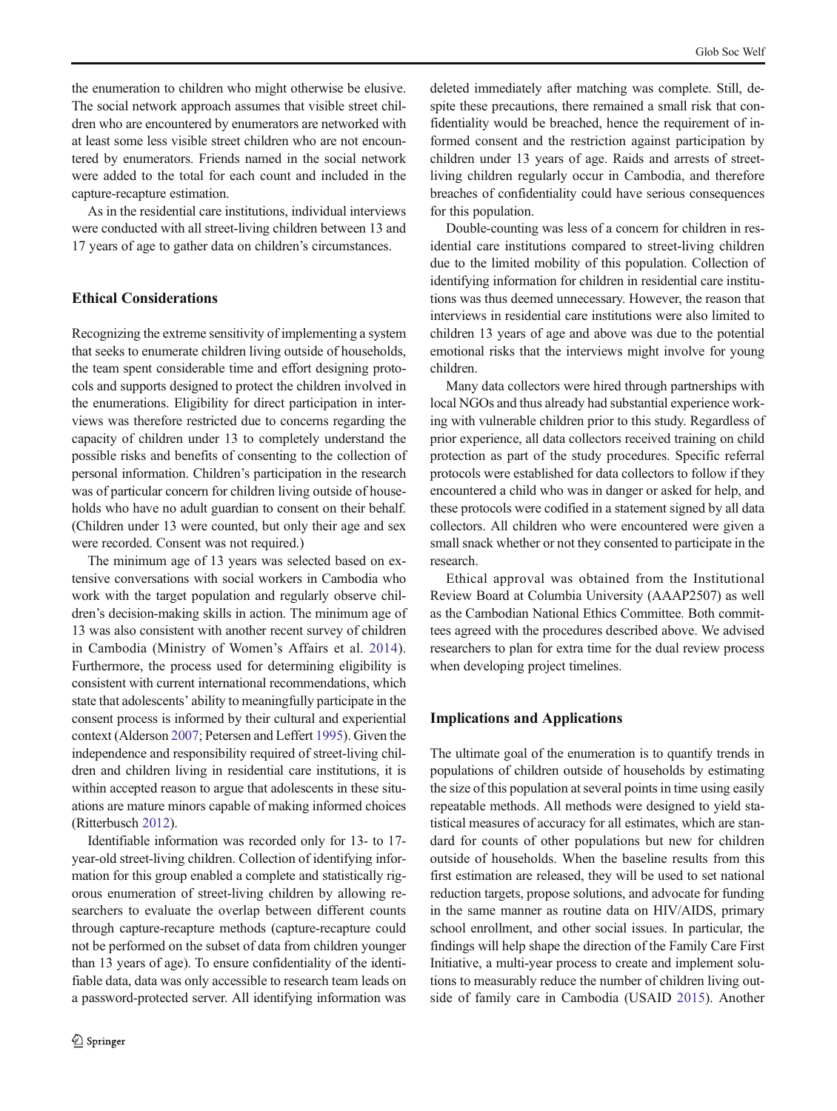the enumeration to children who might otherwise be elusive. The social network approach assumes that visible street children who are encountered by enumerators are networked with at least some less visible street children who are not encountered by enumerators. Friends named in the social network were added to the total for each count and included in the capture-recapture estimation.

As in the residential care institutions, individual interviews were conducted with all street-living children between 13 and 17 years of age to gather data on children's circumstances.

# Ethical Considerations

Recognizing the extreme sensitivity of implementing a system that seeks to enumerate children living outside of households, the team spent considerable time and effort designing protocols and supports designed to protect the children involved in the enumerations. Eligibility for direct participation in interviews was therefore restricted due to concerns regarding the capacity of children under 13 to completely understand the possible risks and benefits of consenting to the collection of personal information. Children's participation in the research was of particular concern for children living outside of households who have no adult guardian to consent on their behalf. (Children under 13 were counted, but only their age and sex were recorded. Consent was not required.)

The minimum age of 13 years was selected based on extensive conversations with social workers in Cambodia who work with the target population and regularly observe children's decision-making skills in action. The minimum age of 13 was also consistent with another recent survey of children in Cambodia (Ministry of Women's Affairs et al. [2014](#page-4-0)). Furthermore, the process used for determining eligibility is consistent with current international recommendations, which state that adolescents' ability to meaningfully participate in the consent process is informed by their cultural and experiential context (Alderson [2007](#page-4-0); Petersen and Leffert [1995](#page-4-0)). Given the independence and responsibility required of street-living children and children living in residential care institutions, it is within accepted reason to argue that adolescents in these situations are mature minors capable of making informed choices (Ritterbusch [2012\)](#page-4-0).

Identifiable information was recorded only for 13- to 17 year-old street-living children. Collection of identifying information for this group enabled a complete and statistically rigorous enumeration of street-living children by allowing researchers to evaluate the overlap between different counts through capture-recapture methods (capture-recapture could not be performed on the subset of data from children younger than 13 years of age). To ensure confidentiality of the identifiable data, data was only accessible to research team leads on a password-protected server. All identifying information was

deleted immediately after matching was complete. Still, despite these precautions, there remained a small risk that confidentiality would be breached, hence the requirement of informed consent and the restriction against participation by children under 13 years of age. Raids and arrests of streetliving children regularly occur in Cambodia, and therefore breaches of confidentiality could have serious consequences for this population.

Double-counting was less of a concern for children in residential care institutions compared to street-living children due to the limited mobility of this population. Collection of identifying information for children in residential care institutions was thus deemed unnecessary. However, the reason that interviews in residential care institutions were also limited to children 13 years of age and above was due to the potential emotional risks that the interviews might involve for young children.

Many data collectors were hired through partnerships with local NGOs and thus already had substantial experience working with vulnerable children prior to this study. Regardless of prior experience, all data collectors received training on child protection as part of the study procedures. Specific referral protocols were established for data collectors to follow if they encountered a child who was in danger or asked for help, and these protocols were codified in a statement signed by all data collectors. All children who were encountered were given a small snack whether or not they consented to participate in the research.

Ethical approval was obtained from the Institutional Review Board at Columbia University (AAAP2507) as well as the Cambodian National Ethics Committee. Both committees agreed with the procedures described above. We advised researchers to plan for extra time for the dual review process when developing project timelines.

## Implications and Applications

The ultimate goal of the enumeration is to quantify trends in populations of children outside of households by estimating the size of this population at several points in time using easily repeatable methods. All methods were designed to yield statistical measures of accuracy for all estimates, which are standard for counts of other populations but new for children outside of households. When the baseline results from this first estimation are released, they will be used to set national reduction targets, propose solutions, and advocate for funding in the same manner as routine data on HIV/AIDS, primary school enrollment, and other social issues. In particular, the findings will help shape the direction of the Family Care First Initiative, a multi-year process to create and implement solutions to measurably reduce the number of children living outside of family care in Cambodia (USAID [2015](#page-5-0)). Another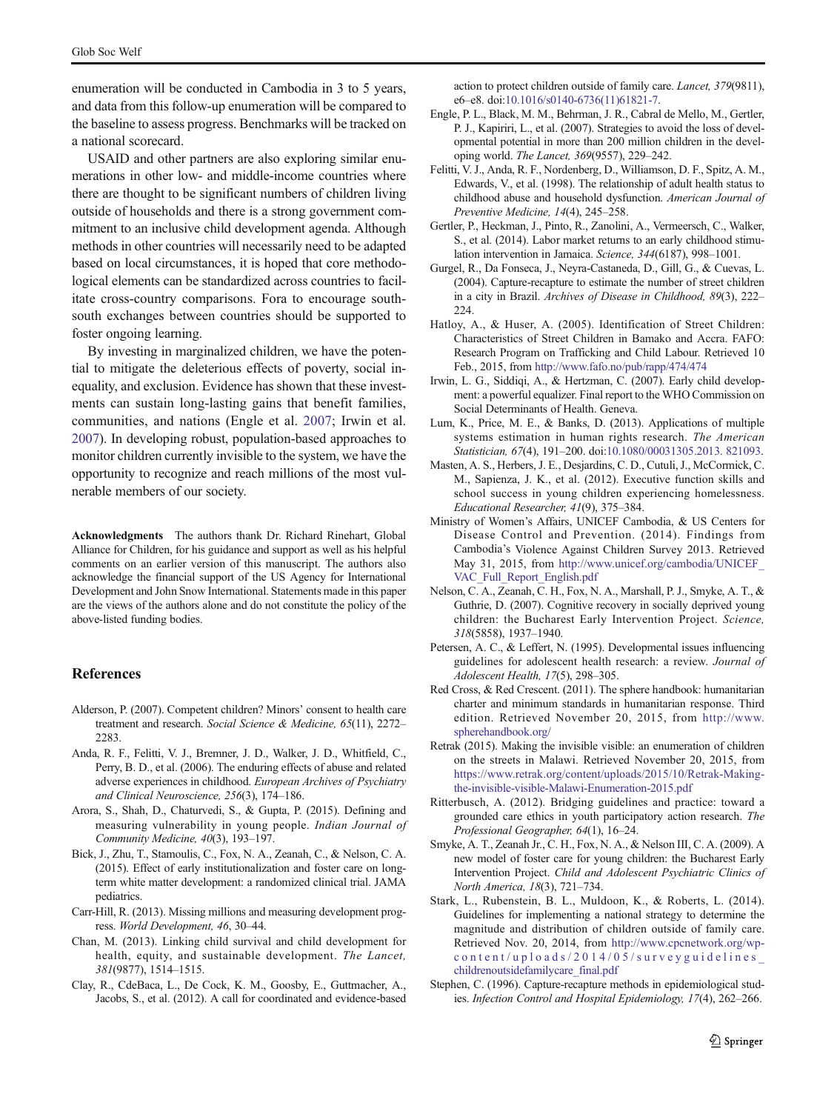<span id="page-4-0"></span>enumeration will be conducted in Cambodia in 3 to 5 years, and data from this follow-up enumeration will be compared to the baseline to assess progress. Benchmarks will be tracked on a national scorecard.

USAID and other partners are also exploring similar enumerations in other low- and middle-income countries where there are thought to be significant numbers of children living outside of households and there is a strong government commitment to an inclusive child development agenda. Although methods in other countries will necessarily need to be adapted based on local circumstances, it is hoped that core methodological elements can be standardized across countries to facilitate cross-country comparisons. Fora to encourage southsouth exchanges between countries should be supported to foster ongoing learning.

By investing in marginalized children, we have the potential to mitigate the deleterious effects of poverty, social inequality, and exclusion. Evidence has shown that these investments can sustain long-lasting gains that benefit families, communities, and nations (Engle et al. 2007; Irwin et al. 2007). In developing robust, population-based approaches to monitor children currently invisible to the system, we have the opportunity to recognize and reach millions of the most vulnerable members of our society.

Acknowledgments The authors thank Dr. Richard Rinehart, Global Alliance for Children, for his guidance and support as well as his helpful comments on an earlier version of this manuscript. The authors also acknowledge the financial support of the US Agency for International Development and John Snow International. Statements made in this paper are the views of the authors alone and do not constitute the policy of the above-listed funding bodies.

## References

- Alderson, P. (2007). Competent children? Minors' consent to health care treatment and research. Social Science & Medicine, 65(11), 2272– 2283
- Anda, R. F., Felitti, V. J., Bremner, J. D., Walker, J. D., Whitfield, C., Perry, B. D., et al. (2006). The enduring effects of abuse and related adverse experiences in childhood. European Archives of Psychiatry and Clinical Neuroscience, 256(3), 174–186.
- Arora, S., Shah, D., Chaturvedi, S., & Gupta, P. (2015). Defining and measuring vulnerability in young people. Indian Journal of Community Medicine, 40(3), 193–197.
- Bick, J., Zhu, T., Stamoulis, C., Fox, N. A., Zeanah, C., & Nelson, C. A. (2015). Effect of early institutionalization and foster care on longterm white matter development: a randomized clinical trial. JAMA pediatrics.
- Carr-Hill, R. (2013). Missing millions and measuring development progress. World Development, 46, 30–44.
- Chan, M. (2013). Linking child survival and child development for health, equity, and sustainable development. The Lancet, 381(9877), 1514–1515.
- Clay, R., CdeBaca, L., De Cock, K. M., Goosby, E., Guttmacher, A., Jacobs, S., et al. (2012). A call for coordinated and evidence-based

action to protect children outside of family care. Lancet, 379(9811), e6–e8. doi:[10.1016/s0140-6736\(11\)61821-7](http://dx.doi.org/10.1016/s0140-6736(11)61821-7).

- Engle, P. L., Black, M. M., Behrman, J. R., Cabral de Mello, M., Gertler, P. J., Kapiriri, L., et al. (2007). Strategies to avoid the loss of developmental potential in more than 200 million children in the developing world. The Lancet, 369(9557), 229–242.
- Felitti, V. J., Anda, R. F., Nordenberg, D., Williamson, D. F., Spitz, A. M., Edwards, V., et al. (1998). The relationship of adult health status to childhood abuse and household dysfunction. American Journal of Preventive Medicine, 14(4), 245-258.
- Gertler, P., Heckman, J., Pinto, R., Zanolini, A., Vermeersch, C., Walker, S., et al. (2014). Labor market returns to an early childhood stimulation intervention in Jamaica. Science, 344(6187), 998–1001.
- Gurgel, R., Da Fonseca, J., Neyra-Castaneda, D., Gill, G., & Cuevas, L. (2004). Capture-recapture to estimate the number of street children in a city in Brazil. Archives of Disease in Childhood, 89(3), 222– 224.
- Hatloy, A., & Huser, A. (2005). Identification of Street Children: Characteristics of Street Children in Bamako and Accra. FAFO: Research Program on Trafficking and Child Labour. Retrieved 10 Feb., 2015, from <http://www.fafo.no/pub/rapp/474/474>
- Irwin, L. G., Siddiqi, A., & Hertzman, C. (2007). Early child development: a powerful equalizer. Final report to the WHO Commission on Social Determinants of Health. Geneva.
- Lum, K., Price, M. E., & Banks, D. (2013). Applications of multiple systems estimation in human rights research. The American Statistician, 67(4), 191–200. doi:[10.1080/00031305.2013. 821093.](http://dx.doi.org/10.1080/00031305.2013.%20821093)
- Masten, A. S., Herbers, J. E., Desjardins, C. D., Cutuli, J., McCormick, C. M., Sapienza, J. K., et al. (2012). Executive function skills and school success in young children experiencing homelessness. Educational Researcher, 41(9), 375–384.
- Ministry of Women's Affairs, UNICEF Cambodia, & US Centers for Disease Control and Prevention. (2014). Findings from Cambodia's Violence Against Children Survey 2013. Retrieved May 31, 2015, from [http://www.unicef.org/cambodia/UNICEF\\_](http://www.unicef.org/cambodia/UNICEF_VAC_Full_Report_English.pdf) [VAC\\_Full\\_Report\\_English.pdf](http://www.unicef.org/cambodia/UNICEF_VAC_Full_Report_English.pdf)
- Nelson, C. A., Zeanah, C. H., Fox, N. A., Marshall, P. J., Smyke, A. T., & Guthrie, D. (2007). Cognitive recovery in socially deprived young children: the Bucharest Early Intervention Project. Science, 318(5858), 1937–1940.
- Petersen, A. C., & Leffert, N. (1995). Developmental issues influencing guidelines for adolescent health research: a review. Journal of Adolescent Health, 17(5), 298–305.
- Red Cross, & Red Crescent. (2011). The sphere handbook: humanitarian charter and minimum standards in humanitarian response. Third edition. Retrieved November 20, 2015, from [http://www.](http://www.spherehandbook.org) [spherehandbook.org/](http://www.spherehandbook.org)
- Retrak (2015). Making the invisible visible: an enumeration of children on the streets in Malawi. Retrieved November 20, 2015, from [https://www.retrak.org/content/uploads/2015/10/Retrak-Making](https://www.retrak.org/content/uploads/2015/10/Retrak-Making-the-invisible-visible-Malawi-Enumeration-2015.pdf)[the-invisible-visible-Malawi-Enumeration-2015.pdf](https://www.retrak.org/content/uploads/2015/10/Retrak-Making-the-invisible-visible-Malawi-Enumeration-2015.pdf)
- Ritterbusch, A. (2012). Bridging guidelines and practice: toward a grounded care ethics in youth participatory action research. The Professional Geographer, 64(1), 16–24.
- Smyke, A. T., Zeanah Jr., C. H., Fox, N. A., & Nelson III, C. A. (2009). A new model of foster care for young children: the Bucharest Early Intervention Project. Child and Adolescent Psychiatric Clinics of North America, 18(3), 721–734.
- Stark, L., Rubenstein, B. L., Muldoon, K., & Roberts, L. (2014). Guidelines for implementing a national strategy to determine the magnitude and distribution of children outside of family care. Retrieved Nov. 20, 2014, from [http://www.cpcnetwork.org/wp](http://www.cpcnetwork.org/wp-content/uploads/2014/05/surveyguidelines_childrenoutsidefamilycare_final.pdf)[content/uploads/2014/05/surveyguidelines\\_](http://www.cpcnetwork.org/wp-content/uploads/2014/05/surveyguidelines_childrenoutsidefamilycare_final.pdf) [childrenoutsidefamilycare\\_final.pdf](http://www.cpcnetwork.org/wp-content/uploads/2014/05/surveyguidelines_childrenoutsidefamilycare_final.pdf)
- Stephen, C. (1996). Capture-recapture methods in epidemiological studies. Infection Control and Hospital Epidemiology, 17(4), 262–266.